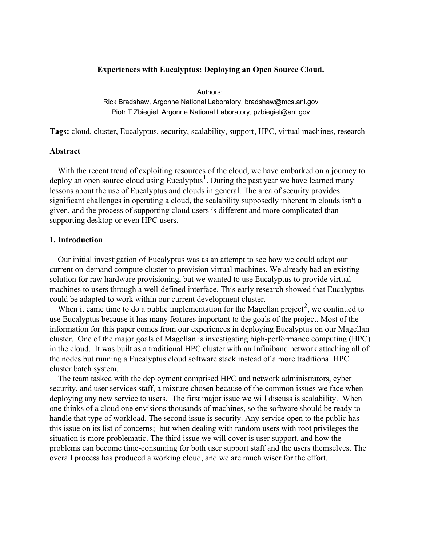## **Experiences with Eucalyptus: Deploying an Open Source Cloud.**

Authors: Rick Bradshaw, Argonne National Laboratory, bradshaw@mcs.anl.gov Piotr T Zbiegiel, Argonne National Laboratory, pzbiegiel@anl.gov

**Tags:** cloud, cluster, Eucalyptus, security, scalability, support, HPC, virtual machines, research

## **Abstract**

With the recent trend of exploiting resources of the cloud, we have embarked on a journey to deploy an open source cloud using Eucalyptus<sup>1</sup>. During the past year we have learned many lessons about the use of Eucalyptus and clouds in general. The area of security provides significant challenges in operating a cloud, the scalability supposedly inherent in clouds isn't a given, and the process of supporting cloud users is different and more complicated than supporting desktop or even HPC users.

## **1. Introduction**

Our initial investigation of Eucalyptus was as an attempt to see how we could adapt our current on-demand compute cluster to provision virtual machines. We already had an existing solution for raw hardware provisioning, but we wanted to use Eucalyptus to provide virtual machines to users through a well-defined interface. This early research showed that Eucalyptus could be adapted to work within our current development cluster.

When it came time to do a public implementation for the Magellan project<sup>2</sup>, we continued to use Eucalyptus because it has many features important to the goals of the project. Most of the information for this paper comes from our experiences in deploying Eucalyptus on our Magellan cluster. One of the major goals of Magellan is investigating high-performance computing (HPC) in the cloud. It was built as a traditional HPC cluster with an Infiniband network attaching all of the nodes but running a Eucalyptus cloud software stack instead of a more traditional HPC cluster batch system.

The team tasked with the deployment comprised HPC and network administrators, cyber security, and user services staff, a mixture chosen because of the common issues we face when deploying any new service to users. The first major issue we will discuss is scalability. When one thinks of a cloud one envisions thousands of machines, so the software should be ready to handle that type of workload. The second issue is security. Any service open to the public has this issue on its list of concerns; but when dealing with random users with root privileges the situation is more problematic. The third issue we will cover is user support, and how the problems can become time-consuming for both user support staff and the users themselves. The overall process has produced a working cloud, and we are much wiser for the effort.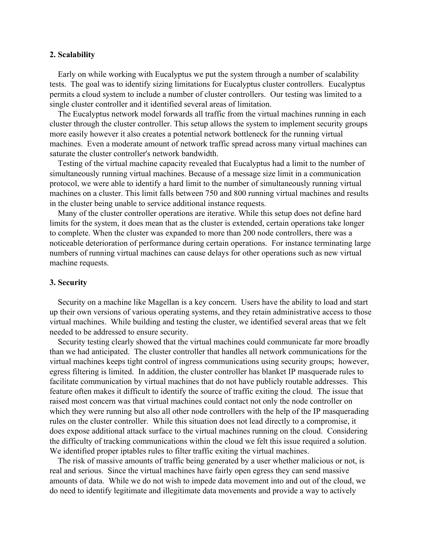### **2. Scalability**

Early on while working with Eucalyptus we put the system through a number of scalability tests. The goal was to identify sizing limitations for Eucalyptus cluster controllers. Eucalyptus permits a cloud system to include a number of cluster controllers. Our testing was limited to a single cluster controller and it identified several areas of limitation.

The Eucalyptus network model forwards all traffic from the virtual machines running in each cluster through the cluster controller. This setup allows the system to implement security groups more easily however it also creates a potential network bottleneck for the running virtual machines. Even a moderate amount of network traffic spread across many virtual machines can saturate the cluster controller's network bandwidth.

Testing of the virtual machine capacity revealed that Eucalyptus had a limit to the number of simultaneously running virtual machines. Because of a message size limit in a communication protocol, we were able to identify a hard limit to the number of simultaneously running virtual machines on a cluster. This limit falls between 750 and 800 running virtual machines and results in the cluster being unable to service additional instance requests.

Many of the cluster controller operations are iterative. While this setup does not define hard limits for the system, it does mean that as the cluster is extended, certain operations take longer to complete. When the cluster was expanded to more than 200 node controllers, there was a noticeable deterioration of performance during certain operations. For instance terminating large numbers of running virtual machines can cause delays for other operations such as new virtual machine requests.

### **3. Security**

Security on a machine like Magellan is a key concern. Users have the ability to load and start up their own versions of various operating systems, and they retain administrative access to those virtual machines. While building and testing the cluster, we identified several areas that we felt needed to be addressed to ensure security.

Security testing clearly showed that the virtual machines could communicate far more broadly than we had anticipated. The cluster controller that handles all network communications for the virtual machines keeps tight control of ingress communications using security groups; however, egress filtering is limited. In addition, the cluster controller has blanket IP masquerade rules to facilitate communication by virtual machines that do not have publicly routable addresses. This feature often makes it difficult to identify the source of traffic exiting the cloud. The issue that raised most concern was that virtual machines could contact not only the node controller on which they were running but also all other node controllers with the help of the IP masquerading rules on the cluster controller. While this situation does not lead directly to a compromise, it does expose additional attack surface to the virtual machines running on the cloud. Considering the difficulty of tracking communications within the cloud we felt this issue required a solution. We identified proper iptables rules to filter traffic exiting the virtual machines.

The risk of massive amounts of traffic being generated by a user whether malicious or not, is real and serious. Since the virtual machines have fairly open egress they can send massive amounts of data. While we do not wish to impede data movement into and out of the cloud, we do need to identify legitimate and illegitimate data movements and provide a way to actively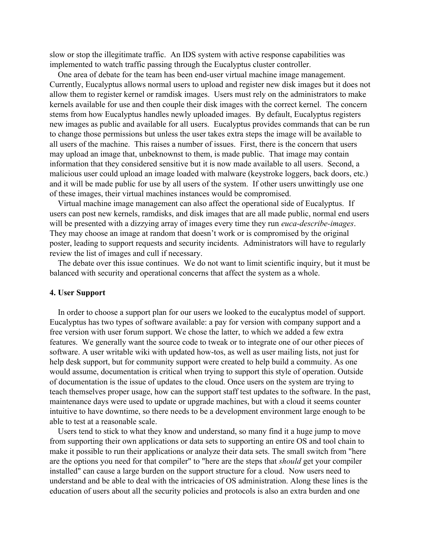slow or stop the illegitimate traffic. An IDS system with active response capabilities was implemented to watch traffic passing through the Eucalyptus cluster controller.

One area of debate for the team has been end-user virtual machine image management. Currently, Eucalyptus allows normal users to upload and register new disk images but it does not allow them to register kernel or ramdisk images. Users must rely on the administrators to make kernels available for use and then couple their disk images with the correct kernel. The concern stems from how Eucalyptus handles newly uploaded images. By default, Eucalyptus registers new images as public and available for all users. Eucalyptus provides commands that can be run to change those permissions but unless the user takes extra steps the image will be available to all users of the machine. This raises a number of issues. First, there is the concern that users may upload an image that, unbeknownst to them, is made public. That image may contain information that they considered sensitive but it is now made available to all users. Second, a malicious user could upload an image loaded with malware (keystroke loggers, back doors, etc.) and it will be made public for use by all users of the system. If other users unwittingly use one of these images, their virtual machines instances would be compromised.

Virtual machine image management can also affect the operational side of Eucalyptus. If users can post new kernels, ramdisks, and disk images that are all made public, normal end users will be presented with a dizzying array of images every time they run *euca-describe-images*. They may choose an image at random that doesn't work or is compromised by the original poster, leading to support requests and security incidents. Administrators will have to regularly review the list of images and cull if necessary.

The debate over this issue continues. We do not want to limit scientific inquiry, but it must be balanced with security and operational concerns that affect the system as a whole.

### **4. User Support**

In order to choose a support plan for our users we looked to the eucalyptus model of support. Eucalyptus has two types of software available: a pay for version with company support and a free version with user forum support. We chose the latter, to which we added a few extra features. We generally want the source code to tweak or to integrate one of our other pieces of software. A user writable wiki with updated how-tos, as well as user mailing lists, not just for help desk support, but for community support were created to help build a commuity. As one would assume, documentation is critical when trying to support this style of operation. Outside of documentation is the issue of updates to the cloud. Once users on the system are trying to teach themselves proper usage, how can the support staff test updates to the software. In the past, maintenance days were used to update or upgrade machines, but with a cloud it seems counter intuitive to have downtime, so there needs to be a development environment large enough to be able to test at a reasonable scale.

Users tend to stick to what they know and understand, so many find it a huge jump to move from supporting their own applications or data sets to supporting an entire OS and tool chain to make it possible to run their applications or analyze their data sets. The small switch from "here are the options you need for that compiler" to "here are the steps that *should* get your compiler installed" can cause a large burden on the support structure for a cloud. Now users need to understand and be able to deal with the intricacies of OS administration. Along these lines is the education of users about all the security policies and protocols is also an extra burden and one